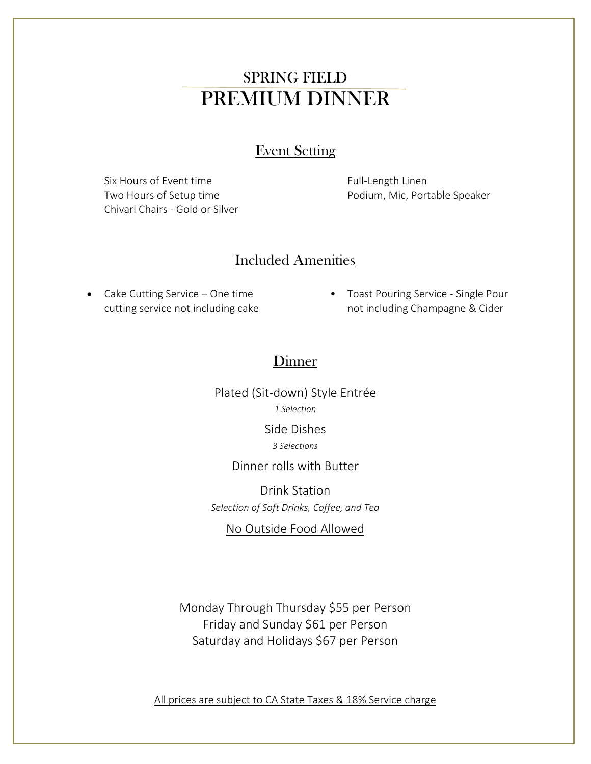## SPRING FIELD PREMIUM DINNER

#### Event Setting

Six Hours of Event time Two Hours of Setup time Chivari Chairs - Gold or Silver Full-Length Linen Podium, Mic, Portable Speaker

#### Included Amenities

- Cake Cutting Service One time cutting service not including cake
- Toast Pouring Service Single Pour not including Champagne & Cider

#### **Dinner**

Plated (Sit-down) Style Entrée *1 Selection*

> Side Dishes *3 Selections*

#### Dinner rolls with Butter

Drink Station *Selection of Soft Drinks, Coffee, and Tea*

No Outside Food Allowed

Monday Through Thursday \$55 per Person Friday and Sunday \$61 per Person Saturday and Holidays \$67 per Person

All prices are subject to CA State Taxes & 18% Service charge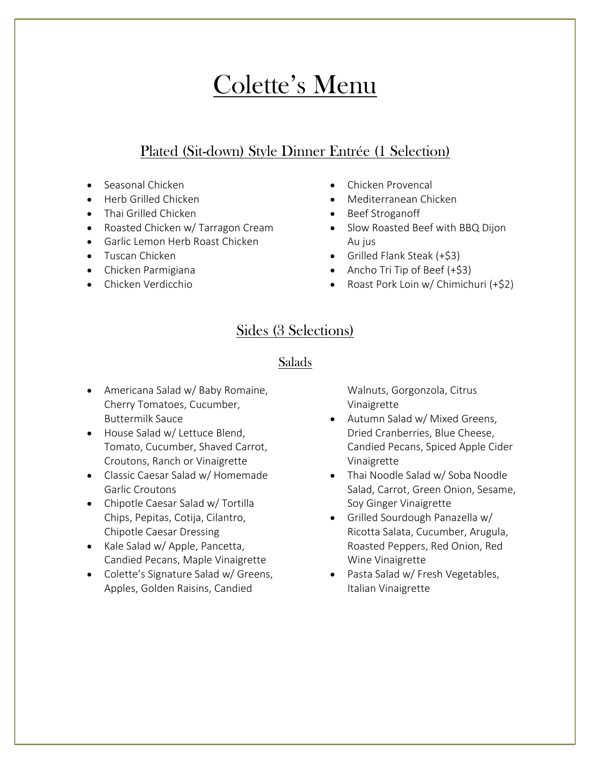# Colette's Menu

### Plated (Sit-down) Style Dinner Entrée (1 Selection)

- Seasonal Chicken
- Herb Grilled Chicken
- Thai Grilled Chicken
- Roasted Chicken w/ Tarragon Cream
- Garlic Lemon Herb Roast Chicken
- Tuscan Chicken
- Chicken Parmigiana
- Chicken Verdicchio
- Chicken Provencal
- Mediterranean Chicken
- Beef Stroganoff
- Slow Roasted Beef with BBQ Dijon Au jus
- Grilled Flank Steak (+\$3)
- Ancho Tri Tip of Beef (+\$3)
- Roast Pork Loin w/ Chimichuri (+\$2)

## Sides (3 Selections)

#### Salads

- Americana Salad w/ Baby Romaine, Cherry Tomatoes, Cucumber, Buttermilk Sauce
- House Salad w/ Lettuce Blend, Tomato, Cucumber, Shaved Carrot, Croutons, Ranch or Vinaigrette
- Classic Caesar Salad w/ Homemade Garlic Croutons
- Chipotle Caesar Salad w/ Tortilla Chips, Pepitas, Cotija, Cilantro, Chipotle Caesar Dressing
- Kale Salad w/ Apple, Pancetta, Candied Pecans, Maple Vinaigrette
- Colette's Signature Salad w/ Greens, Apples, Golden Raisins, Candied

Walnuts, Gorgonzola, Citrus Vinaigrette

- Autumn Salad w/ Mixed Greens, Dried Cranberries, Blue Cheese, Candied Pecans, Spiced Apple Cider Vinaigrette
- Thai Noodle Salad w/ Soba Noodle Salad, Carrot, Green Onion, Sesame, Soy Ginger Vinaigrette
- Grilled Sourdough Panazella w/ Ricotta Salata, Cucumber, Arugula, Roasted Peppers, Red Onion, Red Wine Vinaigrette
- Pasta Salad w/ Fresh Vegetables, Italian Vinaigrette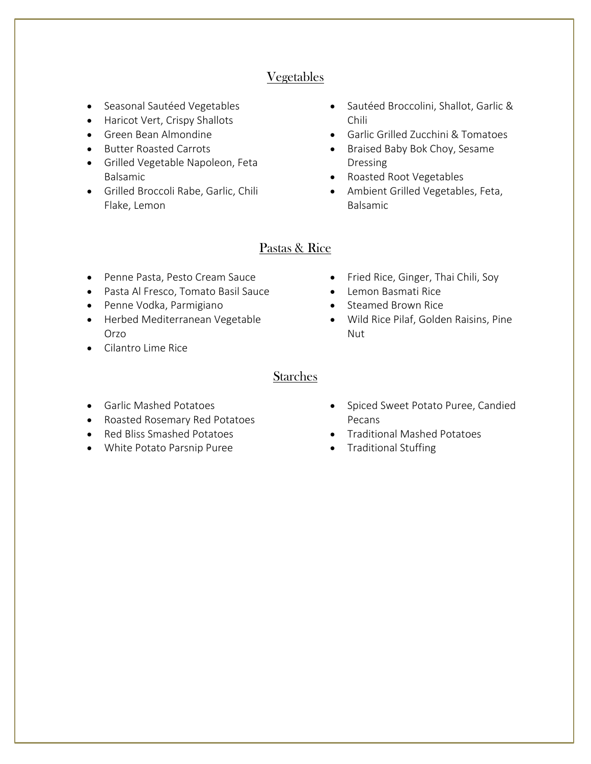#### Vegetables

- Seasonal Sautéed Vegetables
- Haricot Vert, Crispy Shallots
- Green Bean Almondine
- Butter Roasted Carrots
- Grilled Vegetable Napoleon, Feta Balsamic
- Grilled Broccoli Rabe, Garlic, Chili Flake, Lemon
- Sautéed Broccolini, Shallot, Garlic & Chili
- Garlic Grilled Zucchini & Tomatoes
- Braised Baby Bok Choy, Sesame Dressing
- Roasted Root Vegetables
- Ambient Grilled Vegetables, Feta, Balsamic

#### Pastas & Rice

- Penne Pasta, Pesto Cream Sauce
- Pasta Al Fresco, Tomato Basil Sauce
- Penne Vodka, Parmigiano
- Herbed Mediterranean Vegetable Orzo
- Cilantro Lime Rice
- Fried Rice, Ginger, Thai Chili, Soy
- Lemon Basmati Rice
- Steamed Brown Rice
- Wild Rice Pilaf, Golden Raisins, Pine Nut

#### Starches

- Garlic Mashed Potatoes
- Roasted Rosemary Red Potatoes
- Red Bliss Smashed Potatoes
- White Potato Parsnip Puree
- Spiced Sweet Potato Puree, Candied Pecans
- Traditional Mashed Potatoes
- Traditional Stuffing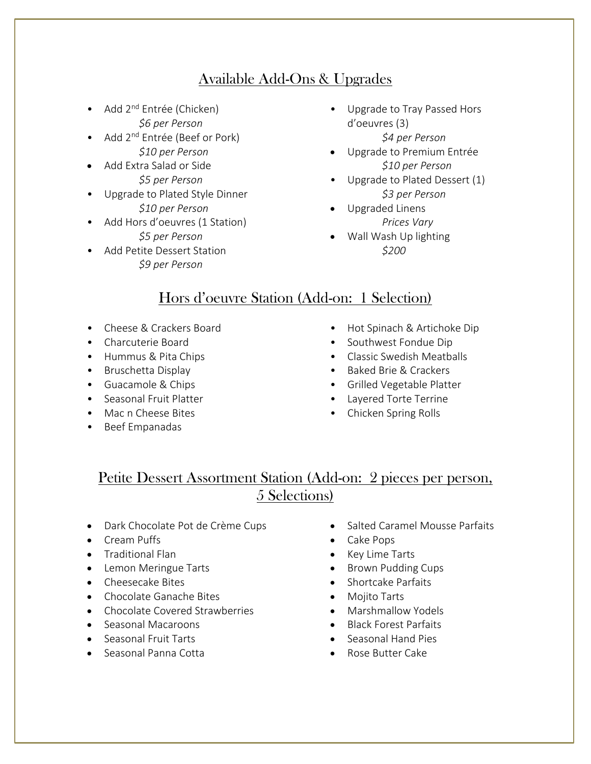## Available Add-Ons & Upgrades

- Add  $2^{nd}$  Entrée (Chicken) *\$6 per Person*
- Add 2<sup>nd</sup> Entrée (Beef or Pork) *\$10 per Person*
- Add Extra Salad or Side *\$5 per Person*
- Upgrade to Plated Style Dinner *\$10 per Person*
- Add Hors d'oeuvres (1 Station)
	- *\$5 per Person*
- Add Petite Dessert Station *\$9 per Person*
- Upgrade to Tray Passed Hors d'oeuvres (3) *\$4 per Person*
- Upgrade to Premium Entrée *\$10 per Person*
- Upgrade to Plated Dessert (1) *\$3 per Person*
- Upgraded Linens *Prices Vary*
- Wall Wash Up lighting *\$200*

## Hors d'oeuvre Station (Add-on: 1 Selection)

- Cheese & Crackers Board
- Charcuterie Board
- Hummus & Pita Chips
- Bruschetta Display
- Guacamole & Chips
- Seasonal Fruit Platter
- Mac n Cheese Bites
- Beef Empanadas
- Hot Spinach & Artichoke Dip
- Southwest Fondue Dip
- Classic Swedish Meatballs
- Baked Brie & Crackers
- Grilled Vegetable Platter
- Layered Torte Terrine
- Chicken Spring Rolls

## Petite Dessert Assortment Station (Add-on: 2 pieces per person, 5 Selections)

- Dark Chocolate Pot de Crème Cups
- Cream Puffs
- Traditional Flan
- Lemon Meringue Tarts
- Cheesecake Bites
- Chocolate Ganache Bites
- Chocolate Covered Strawberries
- Seasonal Macaroons
- Seasonal Fruit Tarts
- Seasonal Panna Cotta
- Salted Caramel Mousse Parfaits
- Cake Pops
- Key Lime Tarts
- Brown Pudding Cups
- Shortcake Parfaits
- Mojito Tarts
- Marshmallow Yodels
- Black Forest Parfaits
- Seasonal Hand Pies
- Rose Butter Cake